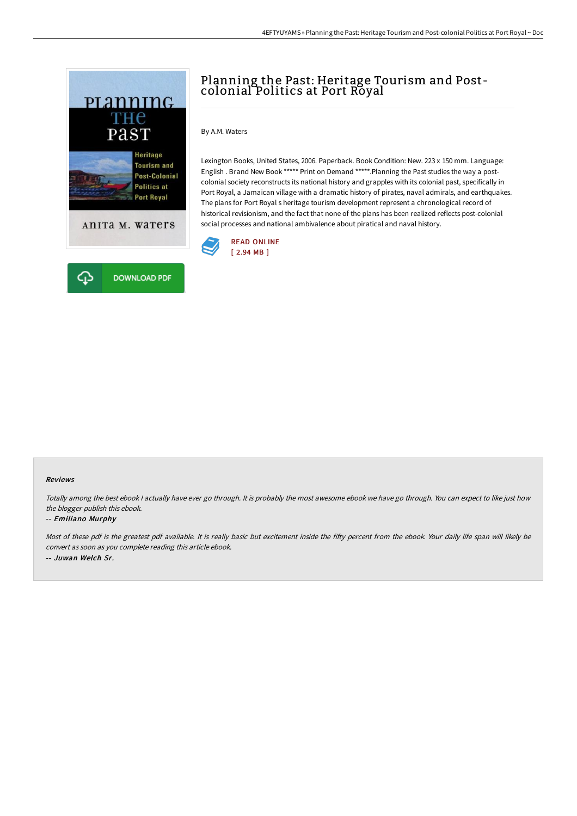

# Planning the Past: Heritage Tourism and Postcolonial Politics at Port Royal

### By A.M. Waters

Lexington Books, United States, 2006. Paperback. Book Condition: New. 223 x 150 mm. Language: English . Brand New Book \*\*\*\*\* Print on Demand \*\*\*\*\*.Planning the Past studies the way a postcolonial society reconstructs its national history and grapples with its colonial past, specifically in Port Royal, a Jamaican village with a dramatic history of pirates, naval admirals, and earthquakes. The plans for Port Royal s heritage tourism development represent a chronological record of historical revisionism, and the fact that none of the plans has been realized reflects post-colonial social processes and national ambivalence about piratical and naval history.



#### Reviews

Totally among the best ebook I actually have ever go through. It is probably the most awesome ebook we have go through. You can expect to like just how the blogger publish this ebook.

#### -- Emiliano Murphy

Most of these pdf is the greatest pdf available. It is really basic but excitement inside the fifty percent from the ebook. Your daily life span will likely be convert as soon as you complete reading this article ebook. -- Juwan Welch Sr.